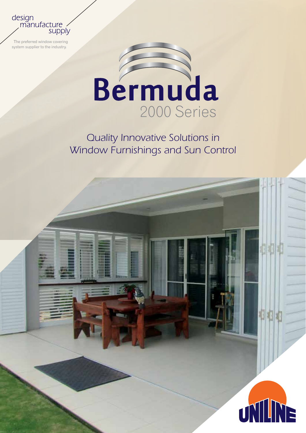design<br>manufacture supply

 The preferred window covering system supplier to the industry.



### *Quality Innovative Solutions in Window Furnishings and Sun Control*

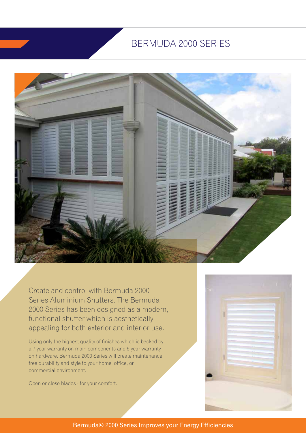### BERMUDA 2000 SERIES



Create and control with Bermuda 2000 Series Aluminium Shutters. The Bermuda 2000 Series has been designed as a modern, functional shutter which is aesthetically appealing for both exterior and interior use.

Using only the highest quality of finishes which is backed by a 7 year warranty on main components and 5 year warranty on hardware. Bermuda 2000 Series will create maintenance free durability and style to your home, office, or commercial environment.

Open or close blades - for your comfort.



Bermuda® 2000 Series Improves your Energy Efficiencies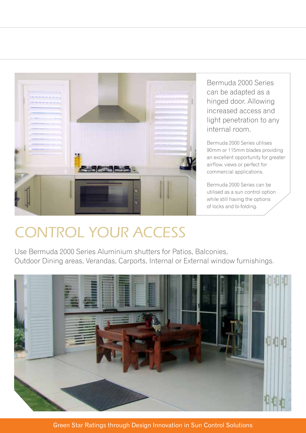

Bermuda 2000 Series can be adapted as a hinged door. Allowing increased access and light penetration to any internal room.

Bermuda 2000 Series utilises 90mm or 115mm blades providing an excellent opportunity for greater airflow, views or perfect for commercial applications.

Bermuda 2000 Series can be utilised as a sun control option while still having the options of locks and bi-folding.

# *CONTROL YOUR ACCESS*

Use Bermuda 2000 Series Aluminium shutters for Patios, Balconies, Outdoor Dining areas, Verandas, Carports, Internal or External window furnishings.



Green Star Ratings through Design Innovation in Sun Control Solutions